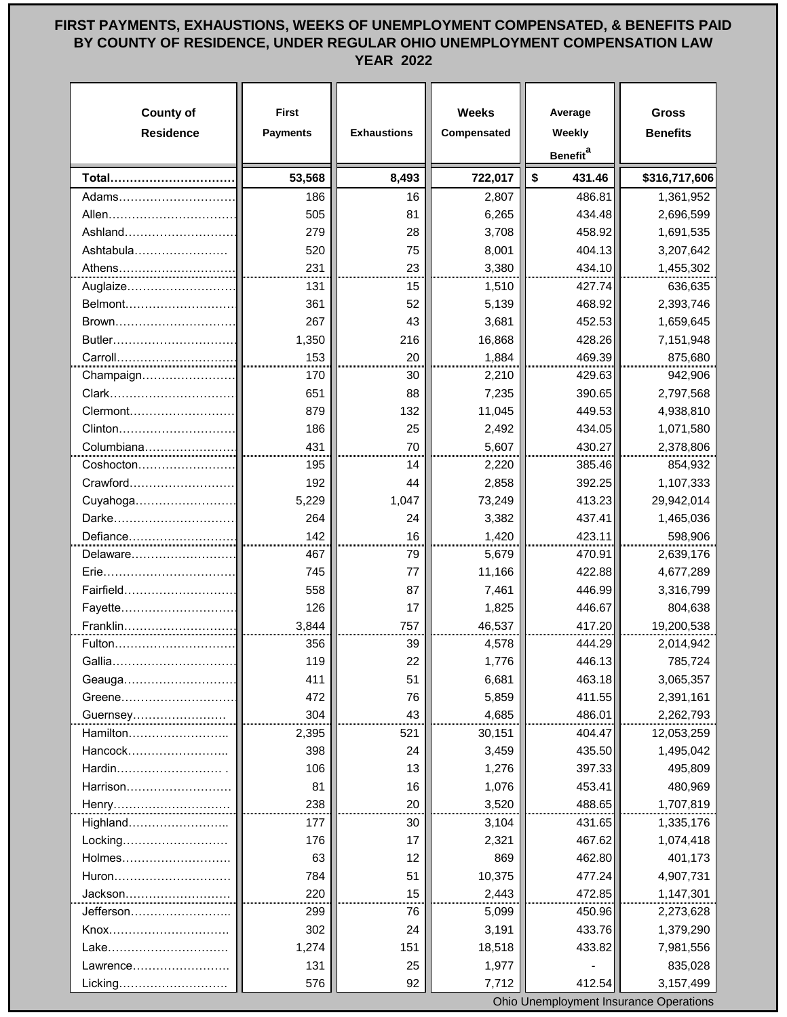## **FIRST PAYMENTS, EXHAUSTIONS, WEEKS OF UNEMPLOYMENT COMPENSATED, & BENEFITS PAID BY COUNTY OF RESIDENCE, UNDER REGULAR OHIO UNEMPLOYMENT COMPENSATION LAW YEAR 2022**

| <b>County of</b><br><b>Residence</b> | <b>First</b><br><b>Payments</b> | <b>Exhaustions</b> | <b>Weeks</b><br>Compensated | Average<br>Weekly<br>Benefit <sup>a</sup> | <b>Gross</b><br><b>Benefits</b> |
|--------------------------------------|---------------------------------|--------------------|-----------------------------|-------------------------------------------|---------------------------------|
| Total                                | 53,568                          | 8,493              | 722,017                     | \$<br>431.46                              | \$316,717,606                   |
| Adams                                | 186                             | 16                 | 2,807                       | 486.81                                    | 1,361,952                       |
| Allen                                | 505                             | 81                 | 6,265                       | 434.48                                    | 2,696,599                       |
| Ashland                              | 279                             | 28                 | 3,708                       | 458.92                                    | 1,691,535                       |
| Ashtabula                            | 520                             | 75                 | 8,001                       | 404.13                                    | 3,207,642                       |
| Athens                               | 231                             | 23                 | 3,380                       | 434.10                                    | 1,455,302                       |
| Auglaize                             | 131                             | 15                 | 1,510                       | 427.74                                    | 636,635                         |
| Belmont                              | 361                             | 52                 | 5,139                       | 468.92                                    | 2,393,746                       |
| Brown                                | 267                             | 43                 | 3,681                       | 452.53                                    | 1,659,645                       |
| Butler                               | 1,350                           | 216                | 16,868                      | 428.26                                    | 7,151,948                       |
| Carroll                              | 153                             | 20                 | 1,884                       | 469.39                                    | 875,680                         |
| Champaign                            | 170                             | 30                 | 2,210                       | 429.63                                    | 942,906                         |
| Clark                                | 651                             | 88                 | 7,235                       | 390.65                                    | 2,797,568                       |
| Clermont                             | 879                             | 132                | 11,045                      | 449.53                                    | 4,938,810                       |
| Clinton                              | 186                             | 25                 | 2,492                       | 434.05                                    | 1,071,580                       |
| Columbiana                           | 431                             | 70                 | 5,607                       | 430.27                                    | 2,378,806                       |
| Coshocton                            | 195                             | 14                 | 2,220                       | 385.46                                    | 854,932                         |
| Crawford                             | 192                             | 44                 | 2,858                       | 392.25                                    | 1,107,333                       |
| Cuyahoga                             | 5,229                           | 1,047              | 73,249                      | 413.23                                    | 29,942,014                      |
| Darke                                | 264                             | 24                 | 3,382                       | 437.41                                    | 1,465,036                       |
| Defiance                             | 142                             | 16                 | 1,420                       | 423.11                                    | 598,906                         |
| Delaware                             | 467                             | 79                 | 5,679                       | 470.91                                    | 2,639,176                       |
| Erie                                 | 745                             | 77                 | 11,166                      | 422.88                                    | 4,677,289                       |
| Fairfield                            | 558                             | 87                 | 7,461                       | 446.99                                    | 3,316,799                       |
| Fayette                              | 126                             | 17                 | 1,825                       | 446.67                                    | 804,638                         |
| Franklin                             | 3,844                           | 757                | 46,537                      | 417.20                                    | 19,200,538                      |
| Fulton                               | 356                             | 39                 | 4,578                       | 444.29                                    | 2,014,942                       |
| Gallia                               | 119                             | 22                 | 1,776                       | 446.13                                    | 785,724                         |
| Geauga                               | 411                             | 51                 | 6,681                       | 463.18                                    | 3,065,357                       |
| Greene                               | 472                             | 76                 | 5,859                       | 411.55                                    | 2,391,161                       |
|                                      | 304                             | 43                 | 4,685                       | 486.01                                    | 2,262,793                       |
| Hamilton                             | 2,395                           | 521                | 30,151                      | 404.47                                    | 12,053,259                      |
| Hancock                              | 398                             | 24                 | 3,459                       | 435.50                                    | 1,495,042                       |
| Hardin                               | 106                             | 13                 | 1,276                       | 397.33                                    | 495,809                         |
| Harrison                             | 81                              | 16                 | 1,076                       | 453.41                                    | 480,969                         |
| Henry                                | 238                             | 20                 | 3,520                       | 488.65                                    | 1,707,819                       |
| Highland                             | 177                             | 30                 | 3,104                       | 431.65                                    | 1,335,176                       |
| Locking                              | 176                             | 17                 | 2,321                       | 467.62                                    | 1,074,418                       |
| Holmes                               | 63                              | 12                 | 869                         | 462.80                                    | 401,173                         |
| Huron                                | 784                             | 51                 | 10,375                      | 477.24                                    | 4,907,731                       |
| Jackson                              | 220                             | 15                 | 2,443                       | 472.85                                    | 1,147,301                       |
| Jefferson                            | 299                             | 76                 | 5,099                       | 450.96                                    | 2,273,628                       |
| Knox                                 | 302                             | 24                 | 3,191                       | 433.76                                    | 1,379,290                       |
| Lake                                 | 1,274                           | 151                | 18,518                      | 433.82                                    | 7,981,556                       |
| Lawrence                             | 131                             | 25                 | 1,977                       |                                           | 835,028                         |
| Licking                              | 576                             | 92                 | 7,712                       | 412.54                                    | 3,157,499                       |

Ohio Unemployment Insurance Operations